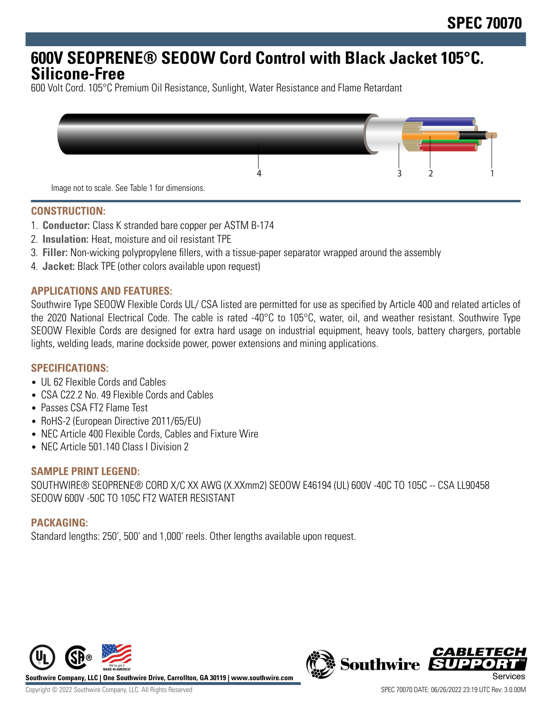## **600V SEOPRENE® SEOOW Cord Control with Black Jacket 105°C. Silicone-Free**

600 Volt Cord. 105°C Premium Oil Resistance, Sunlight, Water Resistance and Flame Retardant



#### **CONSTRUCTION:**

- 1. **Conductor:** Class K stranded bare copper per ASTM B-174
- 2. **Insulation:** Heat, moisture and oil resistant TPE
- 3. **Filler:** Non-wicking polypropylene fillers, with a tissue-paper separator wrapped around the assembly
- 4. **Jacket:** Black TPE (other colors available upon request)

## **APPLICATIONS AND FEATURES:**

Southwire Type SEOOW Flexible Cords UL/ CSA listed are permitted for use as specified by Article 400 and related articles of the 2020 National Electrical Code. The cable is rated -40°C to 105°C, water, oil, and weather resistant. Southwire Type SEOOW Flexible Cords are designed for extra hard usage on industrial equipment, heavy tools, battery chargers, portable lights, welding leads, marine dockside power, power extensions and mining applications.

## **SPECIFICATIONS:**

- UL 62 Flexible Cords and Cables
- CSA C22.2 No. 49 Flexible Cords and Cables
- Passes CSA FT2 Flame Test
- RoHS-2 (European Directive 2011/65/EU)
- NEC Article 400 Flexible Cords, Cables and Fixture Wire
- NEC Article 501.140 Class I Division 2

#### **SAMPLE PRINT LEGEND:**

SOUTHWIRE® SEOPRENE® CORD X/C XX AWG (X.XXmm2) SEOOW E46194 (UL) 600V -40C TO 105C -- CSA LL90458 SEOOW 600V -50C TO 105C FT2 WATER RESISTANT

## **PACKAGING:**

Standard lengths: 250', 500' and 1,000' reels. Other lengths available upon request.



**Southwire Company, LLC | One Southwire Drive, Carrollton, GA 30119 | www.southwire.com**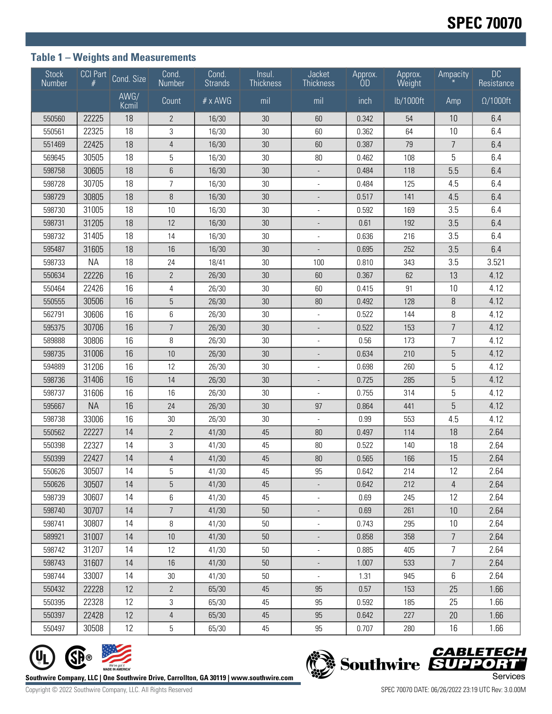## **Table 1 – Weights and Measurements**

| <b>Stock</b><br>Number | CCI Part  | Cond. Size    | Cond.<br>Number | Cond.<br><b>Strands</b> | Insul.<br><b>Thickness</b> | Jacket<br><b>Thickness</b> | Approx.<br>OD | Approx.<br>Weight | Ampacity       | <b>DC</b><br>Resistance |
|------------------------|-----------|---------------|-----------------|-------------------------|----------------------------|----------------------------|---------------|-------------------|----------------|-------------------------|
|                        |           | AWG/<br>Kcmil | Count           | # x AWG                 | mil                        | mil                        | inch          | lb/1000ft         | Amp            | $\Omega/1000$ ft        |
| 550560                 | 22225     | 18            | $\mathbf{2}$    | 16/30                   | 30                         | 60                         | 0.342         | 54                | 10             | 6.4                     |
| 550561                 | 22325     | 18            | $\sqrt{3}$      | 16/30                   | $30\,$                     | 60                         | 0.362         | 64                | 10             | 6.4                     |
| 551469                 | 22425     | 18            | 4               | 16/30                   | 30                         | 60                         | 0.387         | 79                | 7              | 6.4                     |
| 569645                 | 30505     | 18            | 5               | 16/30                   | 30                         | 80                         | 0.462         | 108               | 5              | 6.4                     |
| 598758                 | 30605     | 18            | 6               | 16/30                   | 30                         |                            | 0.484         | 118               | 5.5            | 6.4                     |
| 598728                 | 30705     | 18            | $\overline{7}$  | 16/30                   | 30                         |                            | 0.484         | 125               | 4.5            | 6.4                     |
| 598729                 | 30805     | 18            | 8               | 16/30                   | 30                         |                            | 0.517         | 141               | 4.5            | 6.4                     |
| 598730                 | 31005     | 18            | 10              | 16/30                   | 30                         |                            | 0.592         | 169               | 3.5            | 6.4                     |
| 598731                 | 31205     | 18            | 12              | 16/30                   | 30                         |                            | 0.61          | 192               | 3.5            | 6.4                     |
| 598732                 | 31405     | 18            | 14              | 16/30                   | 30                         |                            | 0.636         | 216               | 3.5            | 6.4                     |
| 595487                 | 31605     | 18            | 16              | 16/30                   | 30                         |                            | 0.695         | 252               | 3.5            | 6.4                     |
| 598733                 | <b>NA</b> | 18            | 24              | 18/41                   | 30                         | 100                        | 0.810         | 343               | 3.5            | 3.521                   |
| 550634                 | 22226     | 16            | $\overline{2}$  | 26/30                   | 30                         | 60                         | 0.367         | 62                | 13             | 4.12                    |
| 550464                 | 22426     | 16            | $\overline{4}$  | 26/30                   | $30\,$                     | 60                         | 0.415         | 91                | 10             | 4.12                    |
| 550555                 | 30506     | 16            | 5               | 26/30                   | 30                         | $80\,$                     | 0.492         | 128               | 8              | 4.12                    |
| 562791                 | 30606     | 16            | 6               | 26/30                   | $30\,$                     |                            | 0.522         | 144               | 8              | 4.12                    |
| 595375                 | 30706     | 16            | $\overline{7}$  | 26/30                   | 30                         |                            | 0.522         | 153               | $\overline{7}$ | 4.12                    |
| 589888                 | 30806     | 16            | 8               | 26/30                   | 30                         |                            | 0.56          | 173               | 7              | 4.12                    |
| 598735                 | 31006     | 16            | 10              | 26/30                   | 30                         |                            | 0.634         | 210               | 5              | 4.12                    |
| 594889                 | 31206     | 16            | 12              | 26/30                   | 30                         |                            | 0.698         | 260               | 5              | 4.12                    |
| 598736                 | 31406     | 16            | 14              | 26/30                   | 30                         |                            | 0.725         | 285               | 5              | 4.12                    |
| 598737                 | 31606     | 16            | 16              | 26/30                   | 30                         |                            | 0.755         | 314               | 5              | 4.12                    |
| 595667                 | <b>NA</b> | 16            | 24              | 26/30                   | 30                         | 97                         | 0.864         | 441               | 5              | 4.12                    |
| 598738                 | 33006     | 16            | 30              | 26/30                   | 30                         |                            | 0.99          | 553               | 4.5            | 4.12                    |
| 550562                 | 22227     | 14            | $\overline{2}$  | 41/30                   | 45                         | 80                         | 0.497         | 114               | 18             | 2.64                    |
| 550398                 | 22327     | 14            | 3               | 41/30                   | 45                         | $80\,$                     | 0.522         | 140               | 18             | 2.64                    |
| 550399                 | 22427     | 14            | 4               | 41/30                   | 45                         | $80\,$                     | 0.565         | 166               | 15             | 2.64                    |
| 550626                 | 30507     | 14            | 5               | 41/30                   | 45                         | 95                         | 0.642         | 214               | 12             | 2.64                    |
| 550626                 | 30507     | 14            | 5               | 41/30                   | 45                         |                            | 0.642         | 212               | 4              | 2.64                    |
| 598739                 | 30607     | 14            | 6               | 41/30                   | 45                         |                            | 0.69          | 245               | 12             | 2.64                    |
| 598740                 | 30707     | 14            | $\overline{7}$  | 41/30                   | 50                         |                            | 0.69          | 261               | 10             | 2.64                    |
| 598741                 | 30807     | 14            | 8               | 41/30                   | 50                         |                            | 0.743         | 295               | 10             | 2.64                    |
| 589921                 | 31007     | 14            | $10\,$          | 41/30                   | 50                         |                            | 0.858         | 358               | $\overline{7}$ | 2.64                    |
| 598742                 | 31207     | 14            | 12              | 41/30                   | 50                         | $\overline{\phantom{a}}$   | 0.885         | 405               | 7              | 2.64                    |
| 598743                 | 31607     | 14            | 16              | 41/30                   | 50                         |                            | 1.007         | 533               | $\overline{7}$ | 2.64                    |
| 598744                 | 33007     | 14            | $30\,$          | 41/30                   | 50                         | $\overline{\phantom{a}}$   | 1.31          | 945               | 6              | 2.64                    |
| 550432                 | 22228     | 12            | $\overline{2}$  | 65/30                   | 45                         | 95                         | 0.57          | 153               | 25             | 1.66                    |
| 550395                 | 22328     | 12            | 3               | 65/30                   | 45                         | 95                         | 0.592         | 185               | 25             | 1.66                    |
| 550397                 | 22428     | 12            | 4               | 65/30                   | 45                         | 95                         | 0.642         | 227               | 20             | 1.66                    |
| 550497                 | 30508     | 12            | 5               | 65/30                   | 45                         | 95                         | 0.707         | 280               | 16             | 1.66                    |

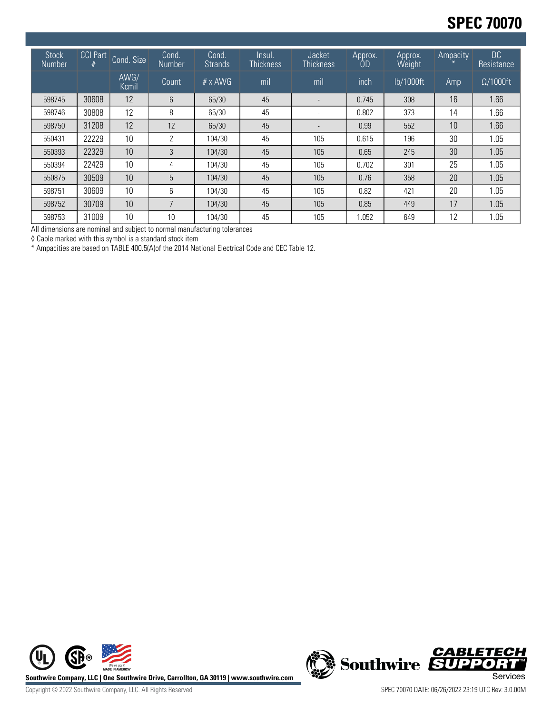# **SPEC 70070**

| <b>Stock</b><br><b>Number</b> | <b>CCI Part</b><br># | Cond. Size    | Cond.<br>Number | Cond.<br><b>Strands</b> | Insul.<br><b>Thickness</b> | Jacket<br><b>Thickness</b> | Approx.<br>0D | Approx.<br>Weight | Ampacity | DC<br>Resistance |
|-------------------------------|----------------------|---------------|-----------------|-------------------------|----------------------------|----------------------------|---------------|-------------------|----------|------------------|
|                               |                      | AWG/<br>Kcmil | Count           | $# \times$ AWG          | mil                        | mil                        | inch          | lb/1000ft         | Amp      | $\Omega/1000$ ft |
| 598745                        | 30608                | 12            | 6               | 65/30                   | 45                         |                            | 0.745         | 308               | 16       | 1.66             |
| 598746                        | 30808                | 12            | 8               | 65/30                   | 45                         | -                          | 0.802         | 373               | 14       | 1.66             |
| 598750                        | 31208                | 12            | 12              | 65/30                   | 45                         |                            | 0.99          | 552               | 10       | 1.66             |
| 550431                        | 22229                | 10            | 2               | 104/30                  | 45                         | 105                        | 0.615         | 196               | 30       | 1.05             |
| 550393                        | 22329                | 10            | 3               | 104/30                  | 45                         | 105                        | 0.65          | 245               | 30       | 1.05             |
| 550394                        | 22429                | 10            | 4               | 104/30                  | 45                         | 105                        | 0.702         | 301               | 25       | 1.05             |
| 550875                        | 30509                | 10            | 5               | 104/30                  | 45                         | 105                        | 0.76          | 358               | 20       | 1.05             |
| 598751                        | 30609                | 10            | 6               | 104/30                  | 45                         | 105                        | 0.82          | 421               | 20       | 1.05             |
| 598752                        | 30709                | 10            | ⇁               | 104/30                  | 45                         | 105                        | 0.85          | 449               | 17       | 1.05             |
| 598753                        | 31009                | 10            | 10              | 104/30                  | 45                         | 105                        | 1.052         | 649               | 12       | 1.05             |

All dimensions are nominal and subject to normal manufacturing tolerances

◊ Cable marked with this symbol is a standard stock item

\* Ampacities are based on TABLE 400.5(A)of the 2014 National Electrical Code and CEC Table 12.





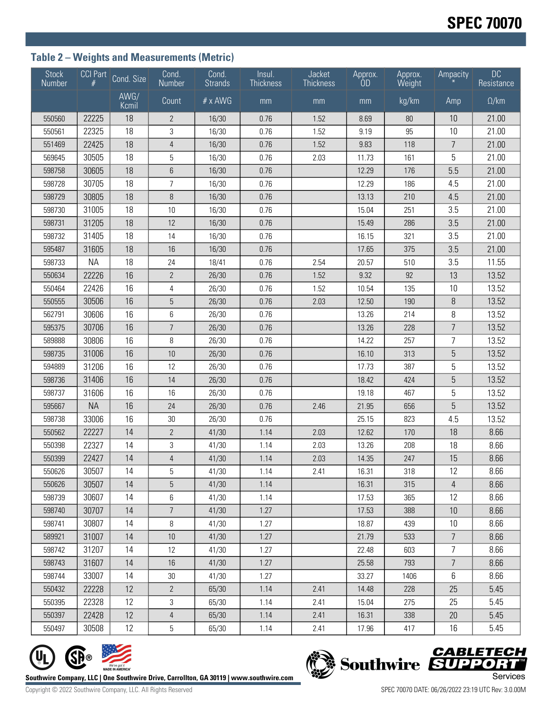## **Table 2 – Weights and Measurements (Metric)**

| <b>Stock</b><br>Number | <b>CCI Part</b> | Cond. Size    | Cond.<br>Number | Cond.<br><b>Strands</b> | Insul.<br><b>Thickness</b> | Jacket<br><b>Thickness</b> | Approx.<br>0D | Approx.<br>Weight | Ampacity        | <b>DC</b><br>Resistance |
|------------------------|-----------------|---------------|-----------------|-------------------------|----------------------------|----------------------------|---------------|-------------------|-----------------|-------------------------|
|                        |                 | AWG/<br>Kcmil | Count           | # x AWG                 | mm                         | mm                         | mm            | kg/km             | Amp             | $\Omega$ /km            |
| 550560                 | 22225           | 18            | $\overline{2}$  | 16/30                   | 0.76                       | 1.52                       | 8.69          | 80                | 10              | 21.00                   |
| 550561                 | 22325           | 18            | 3               | 16/30                   | 0.76                       | 1.52                       | 9.19          | 95                | 10              | 21.00                   |
| 551469                 | 22425           | 18            | $\overline{4}$  | 16/30                   | 0.76                       | 1.52                       | 9.83          | 118               | $\overline{7}$  | 21.00                   |
| 569645                 | 30505           | 18            | 5               | 16/30                   | 0.76                       | 2.03                       | 11.73         | 161               | 5               | 21.00                   |
| 598758                 | 30605           | 18            | $6\phantom{1}$  | 16/30                   | 0.76                       |                            | 12.29         | 176               | 5.5             | 21.00                   |
| 598728                 | 30705           | 18            | $\overline{7}$  | 16/30                   | 0.76                       |                            | 12.29         | 186               | 4.5             | 21.00                   |
| 598729                 | 30805           | 18            | 8               | 16/30                   | 0.76                       |                            | 13.13         | 210               | 4.5             | 21.00                   |
| 598730                 | 31005           | 18            | 10              | 16/30                   | 0.76                       |                            | 15.04         | 251               | 3.5             | 21.00                   |
| 598731                 | 31205           | 18            | 12              | 16/30                   | 0.76                       |                            | 15.49         | 286               | 3.5             | 21.00                   |
| 598732                 | 31405           | 18            | 14              | 16/30                   | 0.76                       |                            | 16.15         | 321               | 3.5             | 21.00                   |
| 595487                 | 31605           | 18            | 16              | 16/30                   | 0.76                       |                            | 17.65         | 375               | 3.5             | 21.00                   |
| 598733                 | <b>NA</b>       | 18            | 24              | 18/41                   | 0.76                       | 2.54                       | 20.57         | 510               | 3.5             | 11.55                   |
| 550634                 | 22226           | 16            | $\overline{2}$  | 26/30                   | 0.76                       | 1.52                       | 9.32          | 92                | 13              | 13.52                   |
| 550464                 | 22426           | 16            | 4               | 26/30                   | 0.76                       | 1.52                       | 10.54         | 135               | 10              | 13.52                   |
| 550555                 | 30506           | 16            | $\overline{5}$  | 26/30                   | 0.76                       | 2.03                       | 12.50         | 190               | 8               | 13.52                   |
| 562791                 | 30606           | 16            | 6               | 26/30                   | 0.76                       |                            | 13.26         | 214               | 8               | 13.52                   |
| 595375                 | 30706           | 16            | $\overline{7}$  | 26/30                   | 0.76                       |                            | 13.26         | 228               | $\overline{7}$  | 13.52                   |
| 589888                 | 30806           | 16            | 8               | 26/30                   | 0.76                       |                            | 14.22         | 257               | $\overline{7}$  | 13.52                   |
| 598735                 | 31006           | 16            | 10              | 26/30                   | 0.76                       |                            | 16.10         | 313               | $\overline{5}$  | 13.52                   |
| 594889                 | 31206           | 16            | 12              | 26/30                   | 0.76                       |                            | 17.73         | 387               | 5               | 13.52                   |
| 598736                 | 31406           | 16            | 14              | 26/30                   | 0.76                       |                            | 18.42         | 424               | $\overline{5}$  | 13.52                   |
| 598737                 | 31606           | 16            | 16              | 26/30                   | 0.76                       |                            | 19.18         | 467               | 5               | 13.52                   |
| 595667                 | <b>NA</b>       | 16            | 24              | 26/30                   | 0.76                       | 2.46                       | 21.95         | 656               | 5               | 13.52                   |
| 598738                 | 33006           | 16            | 30              | 26/30                   | 0.76                       |                            | 25.15         | 823               | 4.5             | 13.52                   |
| 550562                 | 22227           | 14            | $\overline{2}$  | 41/30                   | 1.14                       | 2.03                       | 12.62         | 170               | 18              | 8.66                    |
| 550398                 | 22327           | 14            | 3               | 41/30                   | 1.14                       | 2.03                       | 13.26         | 208               | 18              | 8.66                    |
| 550399                 | 22427           | 14            | $\overline{4}$  | 41/30                   | 1.14                       | 2.03                       | 14.35         | 247               | 15              | 8.66                    |
| 550626                 | 30507           | 14            | 5               | 41/30                   | 1.14                       | 2.41                       | 16.31         | 318               | 12              | 8.66                    |
| 550626                 | 30507           | 14            | 5               | 41/30                   | 1.14                       |                            | 16.31         | 315               | 4               | 8.66                    |
| 598739                 | 30607           | 14            | 6               | 41/30                   | 1.14                       |                            | 17.53         | 365               | 12              | 8.66                    |
| 598740                 | 30707           | 14            | $\overline{7}$  | 41/30                   | 1.27                       |                            | 17.53         | 388               | 10              | 8.66                    |
| 598741                 | 30807           | 14            | 8               | 41/30                   | 1.27                       |                            | 18.87         | 439               | 10              | 8.66                    |
| 589921                 | 31007           | 14            | $10\,$          | 41/30                   | 1.27                       |                            | 21.79         | 533               | $7\overline{ }$ | 8.66                    |
| 598742                 | 31207           | 14            | 12              | 41/30                   | 1.27                       |                            | 22.48         | 603               | $\overline{7}$  | 8.66                    |
| 598743                 | 31607           | 14            | 16              | 41/30                   | 1.27                       |                            | 25.58         | 793               | $\overline{7}$  | 8.66                    |
| 598744                 | 33007           | 14            | 30              | 41/30                   | 1.27                       |                            | 33.27         | 1406              | 6               | 8.66                    |
| 550432                 | 22228           | 12            | $\mathbf{2}$    | 65/30                   | 1.14                       | 2.41                       | 14.48         | 228               | 25              | 5.45                    |
| 550395                 | 22328           | 12            | 3               | 65/30                   | 1.14                       | 2.41                       | 15.04         | 275               | 25              | 5.45                    |
| 550397                 | 22428           | 12            | 4               | 65/30                   | 1.14                       | 2.41                       | 16.31         | 338               | 20              | 5.45                    |
| 550497                 | 30508           | 12            | 5               | 65/30                   | 1.14                       | 2.41                       | 17.96         | 417               | 16              | 5.45                    |